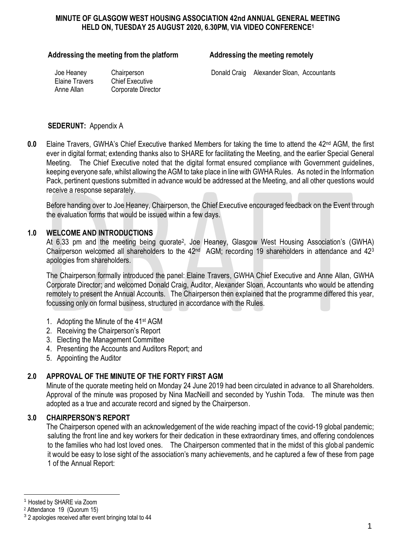### **MINUTE OF GLASGOW WEST HOUSING ASSOCIATION 42nd ANNUAL GENERAL MEETING HELD ON, TUESDAY 25 AUGUST 2020, 6.30PM, VIA VIDEO CONFERENCE<sup>1</sup>**

#### Addressing the meeting from the platform **Addressing the meeting remotely**

Elaine Travers Chief Executive

Anne Allan Corporate Director

Joe Heaney Chairperson Donald Craig Alexander Sloan, Accountants

#### **SEDERUNT:** Appendix A

**0.0** Elaine Travers, GWHA's Chief Executive thanked Members for taking the time to attend the 42<sup>nd</sup> AGM, the first ever in digital format; extending thanks also to SHARE for facilitating the Meeting, and the earlier Special General Meeting. The Chief Executive noted that the digital format ensured compliance with Government guidelines, keeping everyone safe, whilst allowing the AGM to take place in line with GWHA Rules. As noted in the Information Pack, pertinent questions submitted in advance would be addressed at the Meeting, and all other questions would receive a response separately.

Before handing over to Joe Heaney, Chairperson, the Chief Executive encouraged feedback on the Event through the evaluation forms that would be issued within a few days.

### **1.0 WELCOME AND INTRODUCTIONS**

At 6.33 pm and the meeting being quorate<sup>2</sup>, Joe Heaney, Glasgow West Housing Association's (GWHA) Chairperson welcomed all shareholders to the  $42<sup>nd</sup>$  AGM; recording 19 shareholders in attendance and  $42<sup>3</sup>$ apologies from shareholders.

The Chairperson formally introduced the panel: Elaine Travers, GWHA Chief Executive and Anne Allan, GWHA Corporate Director; and welcomed Donald Craig, Auditor, Alexander Sloan, Accountants who would be attending remotely to present the Annual Accounts. The Chairperson then explained that the programme differed this year, focussing only on formal business, structured in accordance with the Rules.

- 1. Adopting the Minute of the 41st AGM
- 2. Receiving the Chairperson's Report
- 3. Electing the Management Committee
- 4. Presenting the Accounts and Auditors Report; and
- 5. Appointing the Auditor

## **2.0 APPROVAL OF THE MINUTE OF THE FORTY FIRST AGM**

Minute of the quorate meeting held on Monday 24 June 2019 had been circulated in advance to all Shareholders. Approval of the minute was proposed by Nina MacNeill and seconded by Yushin Toda. The minute was then adopted as a true and accurate record and signed by the Chairperson.

#### **3.0 CHAIRPERSON'S REPORT**

The Chairperson opened with an acknowledgement of the wide reaching impact of the covid-19 global pandemic; saluting the front line and key workers for their dedication in these extraordinary times, and offering condolences to the families who had lost loved ones. The Chairperson commented that in the midst of this global pandemic it would be easy to lose sight of the association's many achievements, and he captured a few of these from page 1 of the Annual Report:

<u>.</u>

<sup>1</sup> Hosted by SHARE via Zoom

<sup>2</sup> Attendance 19 (Quorum 15)

 $3$  2 apologies received after event bringing total to 44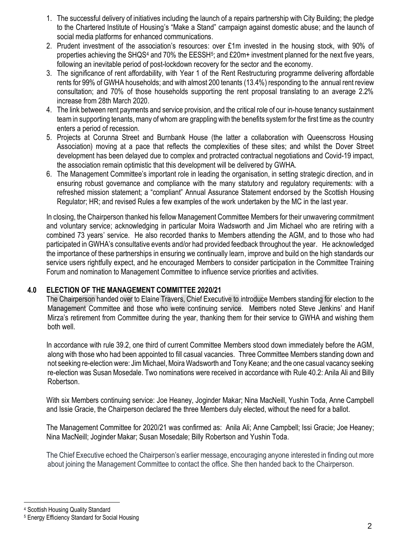- 1. The successful delivery of initiatives including the launch of a repairs partnership with City Building; the pledge to the Chartered Institute of Housing's "Make a Stand" campaign against domestic abuse; and the launch of social media platforms for enhanced communications.
- 2. Prudent investment of the association's resources: over £1m invested in the housing stock, with 90% of properties achieving the SHQS<sup>4</sup> and 70% the EESSH<sup>5</sup>; and £20m+ investment planned for the next five years, following an inevitable period of post-lockdown recovery for the sector and the economy.
- 3. The significance of rent affordability, with Year 1 of the Rent Restructuring programme delivering affordable rents for 99% of GWHA households; and with almost 200 tenants (13.4%) responding to the annual rent review consultation; and 70% of those households supporting the rent proposal translating to an average 2.2% increase from 28th March 2020.
- 4. The link between rent payments and service provision, and the critical role of our in-house tenancy sustainment team in supporting tenants, many of whom are grappling with the benefits system for the first time as the country enters a period of recession.
- 5. Projects at Corunna Street and Burnbank House (the latter a collaboration with Queenscross Housing Association) moving at a pace that reflects the complexities of these sites; and whilst the Dover Street development has been delayed due to complex and protracted contractual negotiations and Covid-19 impact, the association remain optimistic that this development will be delivered by GWHA.
- 6. The Management Committee's important role in leading the organisation, in setting strategic direction, and in ensuring robust governance and compliance with the many statutory and regulatory requirements: with a refreshed mission statement; a "compliant" Annual Assurance Statement endorsed by the Scottish Housing Regulator; HR; and revised Rules a few examples of the work undertaken by the MC in the last year.

In closing, the Chairperson thanked his fellow Management Committee Members for their unwavering commitment and voluntary service; acknowledging in particular Moira Wadsworth and Jim Michael who are retiring with a combined 73 years' service. He also recorded thanks to Members attending the AGM, and to those who had participated in GWHA's consultative events and/or had provided feedback throughout the year. He acknowledged the importance of these partnerships in ensuring we continually learn, improve and build on the high standards our service users rightfully expect, and he encouraged Members to consider participation in the Committee Training Forum and nomination to Management Committee to influence service priorities and activities.

## **4.0 ELECTION OF THE MANAGEMENT COMMITTEE 2020/21**

The Chairperson handed over to Elaine Travers, Chief Executive to introduce Members standing for election to the Management Committee and those who were continuing service. Members noted Steve Jenkins' and Hanif Mirza's retirement from Committee during the year, thanking them for their service to GWHA and wishing them both well.

In accordance with rule 39.2, one third of current Committee Members stood down immediately before the AGM, along with those who had been appointed to fill casual vacancies. Three Committee Members standing down and not seeking re-election were: Jim Michael, Moira Wadsworth and Tony Keane; and the one casual vacancy seeking re-election was Susan Mosedale. Two nominations were received in accordance with Rule 40.2: Anila Ali and Billy Robertson.

With six Members continuing service: Joe Heaney, Joginder Makar; Nina MacNeill, Yushin Toda, Anne Campbell and Issie Gracie, the Chairperson declared the three Members duly elected, without the need for a ballot.

The Management Committee for 2020/21 was confirmed as: Anila Ali; Anne Campbell; Issi Gracie; Joe Heaney; Nina MacNeill; Joginder Makar; Susan Mosedale; Billy Robertson and Yushin Toda.

The Chief Executive echoed the Chairperson's earlier message, encouraging anyone interested in finding out more about joining the Management Committee to contact the office. She then handed back to the Chairperson.

<sup>4</sup> Scottish Housing Quality Standard

1

<sup>5</sup> Energy Efficiency Standard for Social Housing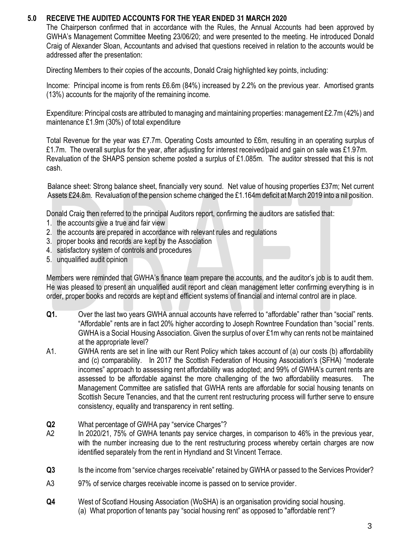## **5.0 RECEIVE THE AUDITED ACCOUNTS FOR THE YEAR ENDED 31 MARCH 2020**

The Chairperson confirmed that in accordance with the Rules, the Annual Accounts had been approved by GWHA's Management Committee Meeting 23/06/20; and were presented to the meeting. He introduced Donald Craig of Alexander Sloan, Accountants and advised that questions received in relation to the accounts would be addressed after the presentation:

Directing Members to their copies of the accounts, Donald Craig highlighted key points, including:

Income: Principal income is from rents £6.6m (84%) increased by 2.2% on the previous year. Amortised grants (13%) accounts for the majority of the remaining income.

Expenditure: Principal costs are attributed to managing and maintaining properties: management £2.7m (42%) and maintenance £1.9m (30%) of total expenditure

Total Revenue for the year was £7.7m. Operating Costs amounted to £6m, resulting in an operating surplus of £1.7m. The overall surplus for the year, after adjusting for interest received/paid and gain on sale was £1.97m. Revaluation of the SHAPS pension scheme posted a surplus of £1.085m. The auditor stressed that this is not cash.

Balance sheet: Strong balance sheet, financially very sound. Net value of housing properties £37m; Net current Assets £24.8m. Revaluation of the pension scheme changed the £1.164m deficit at March 2019 into a nil position.

Donald Craig then referred to the principal Auditors report, confirming the auditors are satisfied that:

- 1. the accounts give a true and fair view
- 2. the accounts are prepared in accordance with relevant rules and regulations
- 3. proper books and records are kept by the Association
- 4. satisfactory system of controls and procedures
- 5. unqualified audit opinion

Members were reminded that GWHA's finance team prepare the accounts, and the auditor's job is to audit them. He was pleased to present an unqualified audit report and clean management letter confirming everything is in order, proper books and records are kept and efficient systems of financial and internal control are in place.

- **Q1.** Over the last two years GWHA annual accounts have referred to "affordable" rather than "social" rents. "Affordable" rents are in fact 20% higher according to Joseph Rowntree Foundation than "social" rents. GWHA is a Social Housing Association. Given the surplus of over £1m why can rents not be maintained at the appropriate level?
- A1. GWHA rents are set in line with our Rent Policy which takes account of (a) our costs (b) affordability and (c) comparability. In 2017 the Scottish Federation of Housing Association's (SFHA) "moderate incomes" approach to assessing rent affordability was adopted; and 99% of GWHA's current rents are assessed to be affordable against the more challenging of the two affordability measures. The Management Committee are satisfied that GWHA rents are affordable for social housing tenants on Scottish Secure Tenancies, and that the current rent restructuring process will further serve to ensure consistency, equality and transparency in rent setting.
- **Q2** What percentage of GWHA pay "service Charges"?
- A2 In 2020/21, 75% of GWHA tenants pay service charges, in comparison to 46% in the previous year, with the number increasing due to the rent restructuring process whereby certain charges are now identified separately from the rent in Hyndland and St Vincent Terrace.
- **Q3** Is the income from "service charges receivable" retained by GWHA or passed to the Services Provider?
- A3 97% of service charges receivable income is passed on to service provider.
- **Q4** West of Scotland Housing Association (WoSHA) is an organisation providing social housing. (a) What proportion of tenants pay "social housing rent" as opposed to "affordable rent"?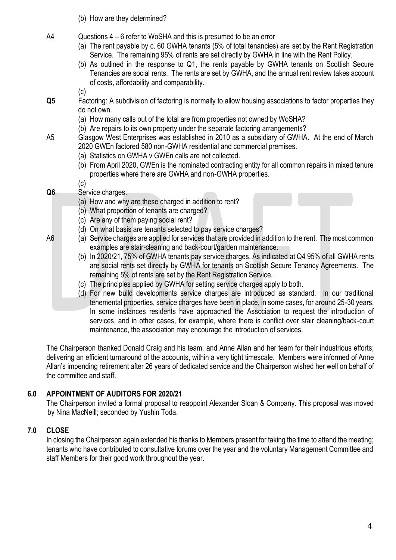- (b) How are they determined?
- A4 Questions 4 6 refer to WoSHA and this is presumed to be an error
	- (a) The rent payable by c. 60 GWHA tenants (5% of total tenancies) are set by the Rent Registration Service. The remaining 95% of rents are set directly by GWHA in line with the Rent Policy.
	- (b) As outlined in the response to Q1, the rents payable by GWHA tenants on Scottish Secure Tenancies are social rents. The rents are set by GWHA, and the annual rent review takes account of costs, affordability and comparability.

- **Q5** Factoring: A subdivision of factoring is normally to allow housing associations to factor properties they do not own.
	- (a) How many calls out of the total are from properties not owned by WoSHA?
	- (b) Are repairs to its own property under the separate factoring arrangements?
- A5 Glasgow West Enterprises was established in 2010 as a subsidiary of GWHA. At the end of March 2020 GWEn factored 580 non-GWHA residential and commercial premises.
	- (a) Statistics on GWHA v GWEn calls are not collected.
	- (b) From April 2020, GWEn is the nominated contracting entity for all common repairs in mixed tenure properties where there are GWHA and non-GWHA properties.

(c)

 $(c)$ 

- **Q6** Service charges.
	- (a) How and why are these charged in addition to rent?
	- (b) What proportion of tenants are charged?
	- (c) Are any of them paying social rent?
	- (d) On what basis are tenants selected to pay service charges?
- A6 (a) Service charges are applied for services that are provided in addition to the rent. The most common examples are stair-cleaning and back-court/garden maintenance.
	- (b) In 2020/21, 75% of GWHA tenants pay service charges. As indicated at Q4 95% of all GWHA rents are social rents set directly by GWHA for tenants on Scottish Secure Tenancy Agreements. The remaining 5% of rents are set by the Rent Registration Service.
	- (c) The principles applied by GWHA for setting service charges apply to both.
	- (d) For new build developments service charges are introduced as standard. In our traditional tenemental properties, service charges have been in place, in some cases, for around 25-30 years. In some instances residents have approached the Association to request the introduction of services, and in other cases, for example, where there is conflict over stair cleaning/back-court maintenance, the association may encourage the introduction of services.

The Chairperson thanked Donald Craig and his team; and Anne Allan and her team for their industrious efforts; delivering an efficient turnaround of the accounts, within a very tight timescale. Members were informed of Anne Allan's impending retirement after 26 years of dedicated service and the Chairperson wished her well on behalf of the committee and staff.

## **6.0 APPOINTMENT OF AUDITORS FOR 2020/21**

The Chairperson invited a formal proposal to reappoint Alexander Sloan & Company. This proposal was moved by Nina MacNeill; seconded by Yushin Toda.

# **7.0 CLOSE**

In closing the Chairperson again extended his thanks to Members present for taking the time to attend the meeting; tenants who have contributed to consultative forums over the year and the voluntary Management Committee and staff Members for their good work throughout the year.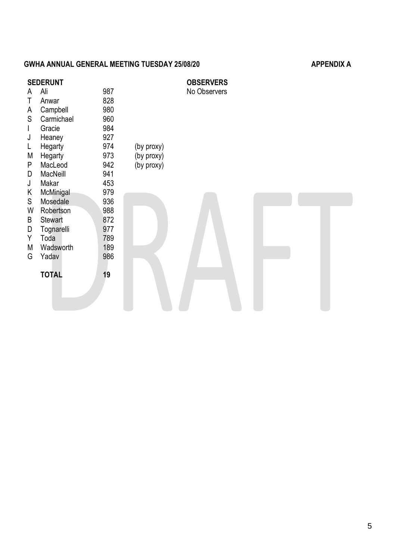# GWHA ANNUAL GENERAL MEETING TUESDAY 25/08/20 **APPENDIX A**

| <b>SEDERUNT</b> |                |     | <b>OBSERVERS</b> |              |  |
|-----------------|----------------|-----|------------------|--------------|--|
| A               | Ali            | 987 |                  | No Observers |  |
| Τ               | Anwar          | 828 |                  |              |  |
| A               | Campbell       | 980 |                  |              |  |
| S               | Carmichael     | 960 |                  |              |  |
| $\mathsf{I}$    | Gracie         | 984 |                  |              |  |
| J               | Heaney         | 927 |                  |              |  |
| L               | Hegarty        | 974 | (by proxy)       |              |  |
| M               | Hegarty        | 973 | (by proxy)       |              |  |
| P               | MacLeod        | 942 | (by proxy)       |              |  |
| D               | MacNeill       | 941 |                  |              |  |
| J               | Makar          | 453 |                  |              |  |
| K               | McMinigal      | 979 |                  |              |  |
| S               | Mosedale       | 936 |                  |              |  |
| W               | Robertson      | 988 |                  |              |  |
| B               | <b>Stewart</b> | 872 |                  |              |  |
| D               | Tognarelli     | 977 |                  |              |  |
| Y               | Toda           | 789 |                  |              |  |
| M               | Wadsworth      | 189 |                  |              |  |
| G               | Yadav          | 986 |                  |              |  |
|                 |                |     |                  |              |  |
|                 | <b>TOTAL</b>   | 19  |                  |              |  |
|                 |                |     |                  |              |  |
|                 |                |     |                  |              |  |
|                 |                |     |                  |              |  |
|                 |                |     |                  |              |  |